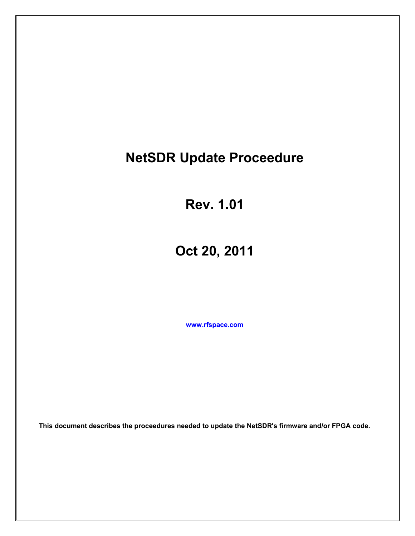# **NetSDR Update Proceedure**

**Rev. 1.01**

**Oct 20, 2011**

**[www.rfspace.com](http://www.rfspace.com/)**

**This document describes the proceedures needed to update the NetSDR's firmware and/or FPGA code.**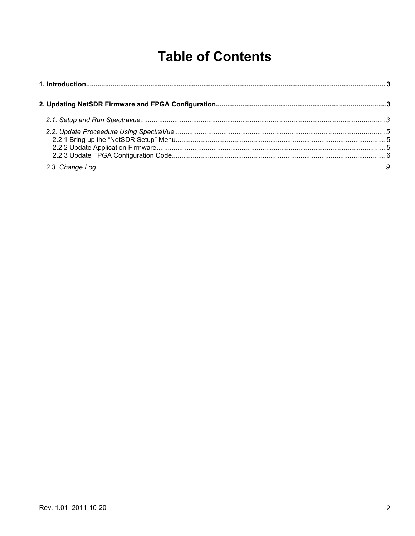# **Table of Contents**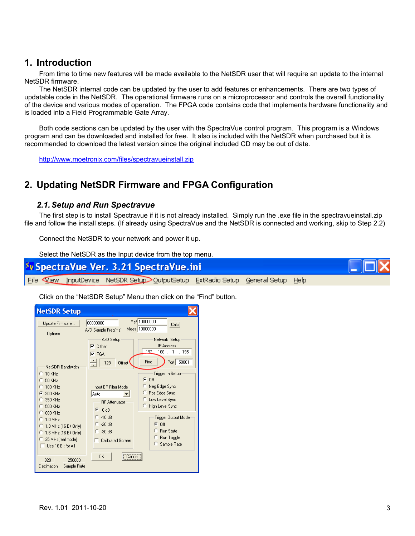## **1. Introduction**

From time to time new features will be made available to the NetSDR user that will require an update to the internal NetSDR firmware.

The NetSDR internal code can be updated by the user to add features or enhancements. There are two types of updatable code in the NetSDR. The operational firmware runs on a microprocessor and controls the overall functionality of the device and various modes of operation. The FPGA code contains code that implements hardware functionality and is loaded into a Field Programmable Gate Array.

Both code sections can be updated by the user with the SpectraVue control program. This program is a Windows program and can be downloaded and installed for free. It also is included with the NetSDR when purchased but it is recommended to download the latest version since the original included CD may be out of date.

<http://www.moetronix.com/files/spectravueinstall.zip>

# **2. Updating NetSDR Firmware and FPGA Configuration**

### *2.1.Setup and Run Spectravue*

The first step is to install Spectravue if it is not already installed. Simply run the .exe file in the spectravueinstall.zip file and follow the install steps. (If already using SpectraVue and the NetSDR is connected and working, skip to Step 2.2)

Connect the NetSDR to your network and power it up.

Select the NetSDR as the Input device from the top menu.



Click on the "NetSDR Setup" Menu then click on the "Find" button.

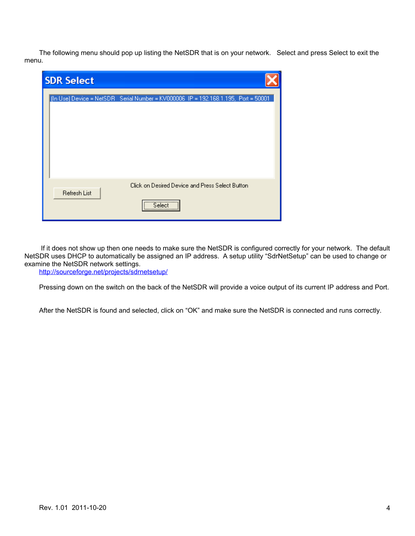The following menu should pop up listing the NetSDR that is on your network. Select and press Select to exit the menu.

| <b>SDR Select</b>                                                                  |  |
|------------------------------------------------------------------------------------|--|
| (In Use) Device = NetSDR Serial Number = KV000006 IP = 192.168.1.195, Port = 50001 |  |
| Click on Desired Device and Press Select Button<br><b>Refresh List</b>             |  |

 If it does not show up then one needs to make sure the NetSDR is configured correctly for your network. The default NetSDR uses DHCP to automatically be assigned an IP address. A setup utility "SdrNetSetup" can be used to change or examine the NetSDR network settings.

<http://sourceforge.net/projects/sdrnetsetup/>

Pressing down on the switch on the back of the NetSDR will provide a voice output of its current IP address and Port.

After the NetSDR is found and selected, click on "OK" and make sure the NetSDR is connected and runs correctly.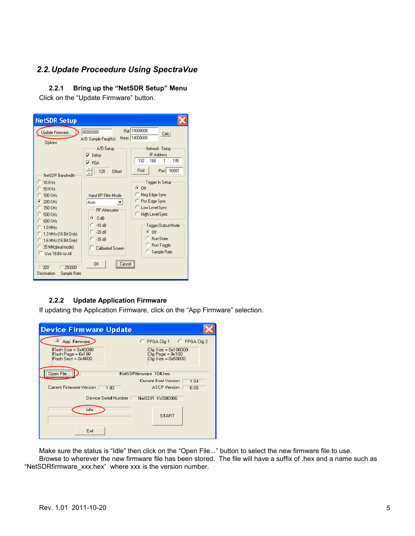## *2.2.Update Proceedure Using SpectraVue*

#### **2.2.1 Bring up the "NetSDR Setup" Menu**

Click on the "Update Firmware" button.

| <b>NetSDR Setup</b>                                                                                                            |                                                                              |                                                                                                      |
|--------------------------------------------------------------------------------------------------------------------------------|------------------------------------------------------------------------------|------------------------------------------------------------------------------------------------------|
| Update Firmware<br>Options                                                                                                     | 80000000<br>A/D Sample Freq(Hz)                                              | Ref 10000000<br>Calc<br>Meas 10000000                                                                |
| NetSDR Bandwidth                                                                                                               | A/D Setup<br>Dither<br>⊽<br>$\nabla$ PGA<br>128<br>Offset                    | Network Setup<br><b>IP Address</b><br>192.168.1<br>.195<br>Find<br>50001<br>Port                     |
| $C$ 10 KHz<br>50 KHz<br>100 KHz<br>200 KHz<br>σ<br>350 KHz<br>500 KHz<br>$800$ KH <sub>z</sub>                                 | Input BP Filter Mode<br>Auto<br><b>RF</b> Attenuator<br>G<br>0 dB<br>$-10dB$ | Trigger In Setup<br>G.<br>Πff<br>Neg Edge Sync<br>Pos Edge Sync<br>Low Level Sync<br>High Level Sync |
| $1.0$ MHz<br>a<br>$\subseteq 1.3$ MHz (16 Bit Only)<br>C 1.6 MHz (16 Bit Only)<br>35 MHz(real mode)<br>$^-$ Use 16 Bit for All | $-20dB$<br>$-30dB$<br>Calibrated Screen                                      | Trigger Output Mode<br>G.<br>Off<br>C Run State<br>Run Toggle<br>Sample Rate                         |
| 320<br>250000<br>Decimation<br>Sample Rate                                                                                     | 0K<br>Lancel                                                                 |                                                                                                      |

### **2.2.2 Update Application Firmware**

If updating the Application Firmware, click on the "App Firmware" selection.

| <b>Device Firmware Update</b>                                     |                                                                   |  |
|-------------------------------------------------------------------|-------------------------------------------------------------------|--|
| App Firmware                                                      | C FPGA Cfg 1 C FPGA Cfg 2                                         |  |
| Flash Size = 0x40000<br>Flash Page = 0x100<br>Flash Sect = 0x4000 | $Cfq Size = 0x100000$<br>Cfg Page = 0x100<br>$Cfq Size = 0x50000$ |  |
| Open File                                                         | NetSDRfirmware 104.hex                                            |  |
|                                                                   | Current Boot Version<br>1.04                                      |  |
| <b>Current Firmware Version</b><br>1 <sub>03</sub>                | <b>ASCP</b> Version<br>0.08                                       |  |
| Device Serial Number [<br>NetSDR KV000006                         |                                                                   |  |
| Idle                                                              | <b>START</b>                                                      |  |
| Exit                                                              |                                                                   |  |

Make sure the status is "Idle" then click on the "Open File..." button to select the new firmware file to use. Browse to wherever the new firmware file has been stored. The file will have a suffix of .hex and a name such as "NetSDRfirmware\_xxx.hex" where xxx is the version number.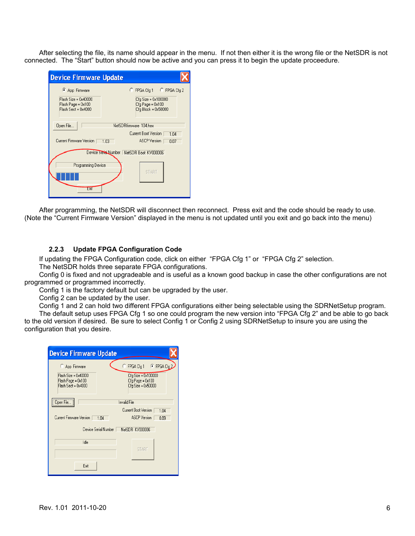After selecting the file, its name should appear in the menu. If not then either it is the wrong file or the NetSDR is not connected. The "Start" button should now be active and you can press it to begin the update proceedure.

| <b>Device Firmware Update</b>         |                                                                                               |
|---------------------------------------|-----------------------------------------------------------------------------------------------|
| App Firmware                          | FPGA Cfg 1 C FPGA Cfg 2                                                                       |
| $Flash Size = 0x40000$                | Cfg Size = 0x100000                                                                           |
| Flash Page = 0x100                    | Cfg Page = 0x100                                                                              |
| Flash Sect = 0x4000                   | Cfg Block = 0x50000                                                                           |
| Open File<br>Current Firmware Version | NetSDRfirmware 104.hex<br>Current Boot Version<br>1.04<br><b>ASCP</b> Version<br>1.03<br>0.07 |
| Programming Device                    | Device Seriel Number NetSDR Boot KV000006                                                     |
| Exit                                  | <b>START</b>                                                                                  |

After programming, the NetSDR will disconnect then reconnect. Press exit and the code should be ready to use. (Note the "Current Firmware Version" displayed in the menu is not updated until you exit and go back into the menu)

#### **2.2.3 Update FPGA Configuration Code**

If updating the FPGA Configuration code, click on either "FPGA Cfg 1" or "FPGA Cfg 2" selection.

The NetSDR holds three separate FPGA configurations.

Config 0 is fixed and not upgradeable and is useful as a known good backup in case the other configurations are not programmed or programmed incorrectly.

Config 1 is the factory default but can be upgraded by the user.

Config 2 can be updated by the user.

Config 1 and 2 can hold two different FPGA configurations either being selectable using the SDRNetSetup program. The default setup uses FPGA Cfg 1 so one could program the new version into "FPGA Cfg 2" and be able to go back to the old version if desired. Be sure to select Config 1 or Config 2 using SDRNetSetup to insure you are using the configuration that you desire.

| Cfg Size = 0x100000                    |
|----------------------------------------|
| Cfg Page = 0x100<br>Cfg Size = 0x50000 |
|                                        |
| Current Boot Version<br>1.04           |
| <b>ASCP</b> Version<br>0.09            |
| NetSDR KV000006                        |
|                                        |
| <b>START</b>                           |
|                                        |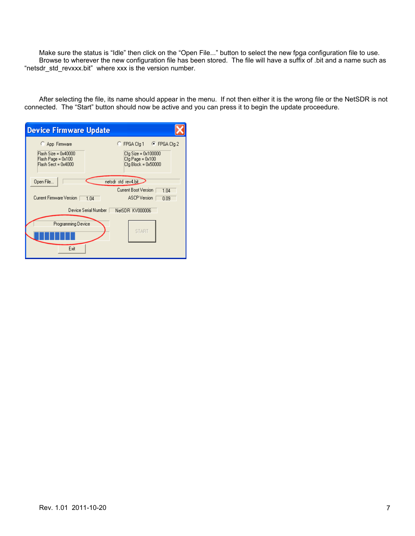Make sure the status is "Idle" then click on the "Open File..." button to select the new fpga configuration file to use. Browse to wherever the new configuration file has been stored. The file will have a suffix of .bit and a name such as "netsdr\_std\_revxxx.bit" where xxx is the version number.

After selecting the file, its name should appear in the menu. If not then either it is the wrong file or the NetSDR is not connected. The "Start" button should now be active and you can press it to begin the update proceedure.

| <b>Device Firmware Update</b>                                                           |                                                                                             |
|-----------------------------------------------------------------------------------------|---------------------------------------------------------------------------------------------|
| C App Firmware<br>$Flash Size = 0x40000$<br>Flash Page = 0x100<br>$Flash Sect = 0x4000$ | C FPGA Cfq 1 C FPGA Cfq 2<br>Cfg Size = 0x100000<br>Cfg Page = 0x100<br>Cfg Block = 0x50000 |
| Open File<br>Current Firmware Version<br>1.04                                           | netsdr_std_rev4.bit<br>Current Boot Version<br>1.04<br><b>ASCP</b> Version<br>0.09          |
| Device Serial Number                                                                    | NetSDR KV000006                                                                             |
| Programming Device<br>Exit                                                              | <b>START</b>                                                                                |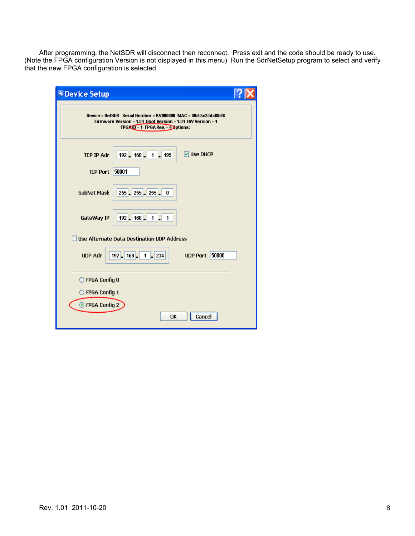After programming, the NetSDR will disconnect then reconnect. Press exit and the code should be ready to use. (Note the FPGA configuration Version is not displayed in this menu) Run the SdrNetSetup program to select and verify that the new FPGA configuration is selected.

| <b>N</b> Device Setup                                                                                                                                                   |  |
|-------------------------------------------------------------------------------------------------------------------------------------------------------------------------|--|
| Device = NetSDR Serial Number = KV000006 MAC = $00:50:c2:bb:88:06$<br>Firmware Version = 1.04 Boot Version = 1.04 HW Version = 1<br>$FPGXID = 1$ FPGA Rev. = 4 Options: |  |
| <b>☑ Use DHCP</b><br>$192$ 168<br><b>TCP IP Adr</b><br>195<br>1                                                                                                         |  |
| 50001<br><b>TCP Port</b>                                                                                                                                                |  |
| 255 255 255<br><b>SubNet Mask</b><br>0                                                                                                                                  |  |
| $192$ 168<br>GateWay IP<br>1<br>1                                                                                                                                       |  |
| <b>Use Alternate Data Destination UDP Address</b>                                                                                                                       |  |
| $192$ $- 168$ $- $<br>50000<br><b>UDP Adr</b><br>1<br>234<br><b>UDP Port</b>                                                                                            |  |
| O FPGA Config 0                                                                                                                                                         |  |
| $\bigcirc$ FPGA Config 1                                                                                                                                                |  |
| ⊙ FPGA Config 2<br>Cancel<br>OK                                                                                                                                         |  |